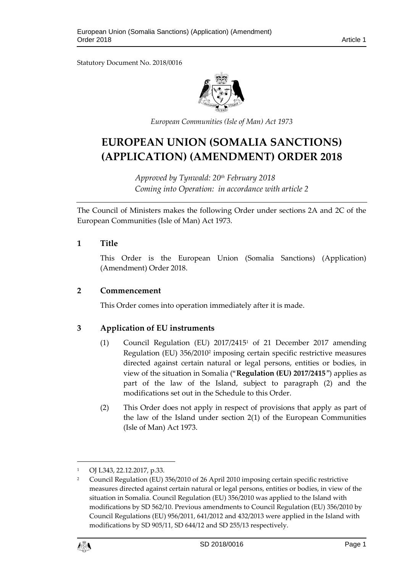Statutory Document No. 2018/0016



*European Communities (Isle of Man) Act 1973*

# **EUROPEAN UNION (SOMALIA SANCTIONS) (APPLICATION) (AMENDMENT) ORDER 2018**

*Approved by Tynwald: 20th February 2018 Coming into Operation: in accordance with article 2*

The Council of Ministers makes the following Order under sections 2A and 2C of the European Communities (Isle of Man) Act 1973.

#### **1 Title**

This Order is the European Union (Somalia Sanctions) (Application) (Amendment) Order 2018.

#### **2 Commencement**

This Order comes into operation immediately after it is made.

### **3 Application of EU instruments**

- (1) Council Regulation (EU) 2017/2415<sup>1</sup> of 21 December 2017 amending Regulation (EU) 356/2010<sup>2</sup> imposing certain specific restrictive measures directed against certain natural or legal persons, entities or bodies, in view of the situation in Somalia ("**Regulation (EU) 2017/2415**") applies as part of the law of the Island, subject to paragraph (2) and the modifications set out in the Schedule to this Order.
- (2) This Order does not apply in respect of provisions that apply as part of the law of the Island under section 2(1) of the European Communities (Isle of Man) Act 1973.

<sup>2</sup> Council Regulation (EU) 356/2010 of 26 April 2010 imposing certain specific restrictive measures directed against certain natural or legal persons, entities or bodies, in view of the situation in Somalia. Council Regulation (EU) 356/2010 was applied to the Island with modifications by SD 562/10. Previous amendments to Council Regulation (EU) 356/2010 by Council Regulations (EU) 956/2011, 641/2012 and 432/2013 were applied in the Island with modifications by SD 905/11, SD 644/12 and SD 255/13 respectively.



1

<sup>1</sup> OJ L343, 22.12.2017, p.33.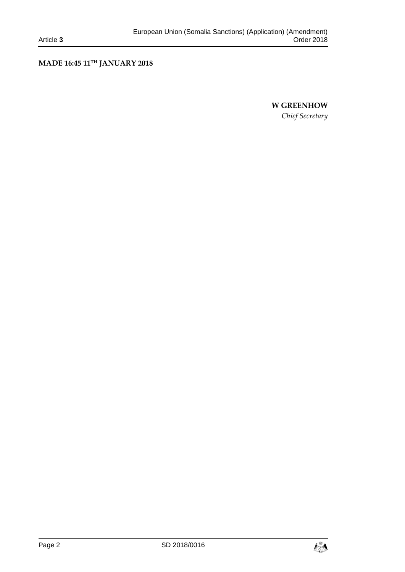# **MADE 16:45 11TH JANUARY 2018**

# **W GREENHOW** *Chief Secretary*

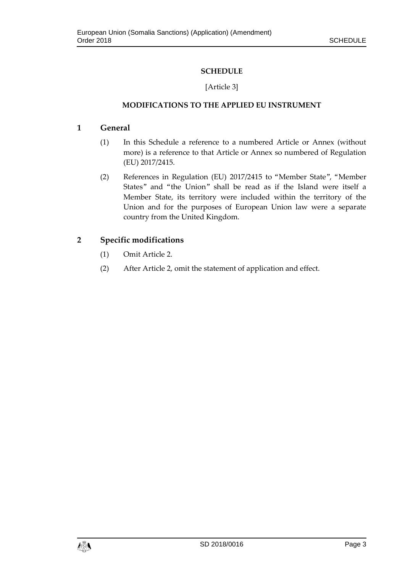# **SCHEDULE**

# [Article 3]

# **MODIFICATIONS TO THE APPLIED EU INSTRUMENT**

### **1 General**

- (1) In this Schedule a reference to a numbered Article or Annex (without more) is a reference to that Article or Annex so numbered of Regulation (EU) 2017/2415.
- (2) References in Regulation (EU) 2017/2415 to "Member State", "Member States" and "the Union" shall be read as if the Island were itself a Member State, its territory were included within the territory of the Union and for the purposes of European Union law were a separate country from the United Kingdom.

# **2 Specific modifications**

- (1) Omit Article 2.
- (2) After Article 2, omit the statement of application and effect.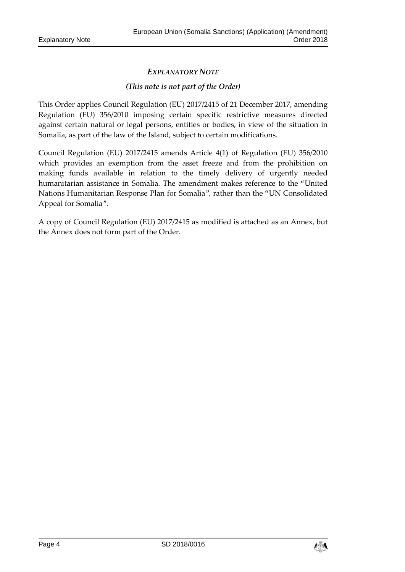# *EXPLANATORY NOTE*

#### *(This note is not part of the Order)*

This Order applies Council Regulation (EU) 2017/2415 of 21 December 2017, amending Regulation (EU) 356/2010 imposing certain specific restrictive measures directed against certain natural or legal persons, entities or bodies, in view of the situation in Somalia, as part of the law of the Island, subject to certain modifications.

Council Regulation (EU) 2017/2415 amends Article 4(1) of Regulation (EU) 356/2010 which provides an exemption from the asset freeze and from the prohibition on making funds available in relation to the timely delivery of urgently needed humanitarian assistance in Somalia. The amendment makes reference to the "United Nations Humanitarian Response Plan for Somalia", rather than the "UN Consolidated Appeal for Somalia".

A copy of Council Regulation (EU) 2017/2415 as modified is attached as an Annex, but the Annex does not form part of the Order.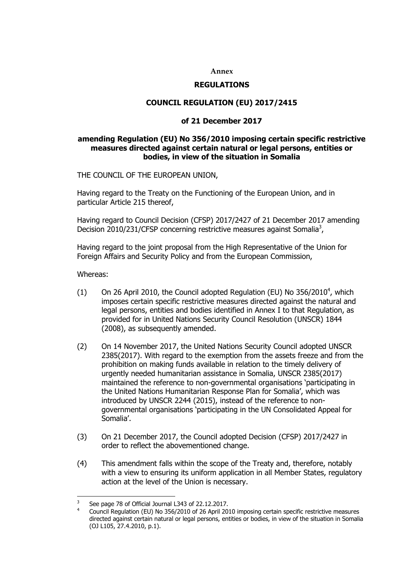#### **Annex**

#### **REGULATIONS**

#### **COUNCIL REGULATION (EU) 2017/2415**

#### **of 21 December 2017**

#### **amending Regulation (EU) No 356/2010 imposing certain specific restrictive measures directed against certain natural or legal persons, entities or bodies, in view of the situation in Somalia**

THE COUNCIL OF THE EUROPEAN UNION,

Having regard to the Treaty on the Functioning of the European Union, and in particular Article 215 thereof,

Having regard to Council Decision (CFSP) 2017/2427 of 21 December 2017 amending Decision 2010/231/CFSP concerning restrictive measures against Somalia<sup>3</sup>,

Having regard to the joint proposal from the High Representative of the Union for Foreign Affairs and Security Policy and from the European Commission,

Whereas:

- (1) On 26 April 2010, the Council adopted Regulation (EU) No  $356/2010^4$ , which imposes certain specific restrictive measures directed against the natural and legal persons, entities and bodies identified in Annex I to that Regulation, as provided for in United Nations Security Council Resolution (UNSCR) 1844 (2008), as subsequently amended.
- (2) On 14 November 2017, the United Nations Security Council adopted UNSCR 2385(2017). With regard to the exemption from the assets freeze and from the prohibition on making funds available in relation to the timely delivery of urgently needed humanitarian assistance in Somalia, UNSCR 2385(2017) maintained the reference to non-governmental organisations 'participating in the United Nations Humanitarian Response Plan for Somalia', which was introduced by UNSCR 2244 (2015), instead of the reference to nongovernmental organisations 'participating in the UN Consolidated Appeal for Somalia'.
- (3) On 21 December 2017, the Council adopted Decision (CFSP) 2017/2427 in order to reflect the abovementioned change.
- (4) This amendment falls within the scope of the Treaty and, therefore, notably with a view to ensuring its uniform application in all Member States, regulatory action at the level of the Union is necessary.

<sup>-&</sup>lt;br>3 See page 78 of Official Journal L343 of 22.12.2017.

<sup>4</sup> Council Regulation (EU) No 356/2010 of 26 April 2010 imposing certain specific restrictive measures directed against certain natural or legal persons, entities or bodies, in view of the situation in Somalia (OJ L105, 27.4.2010, p.1).